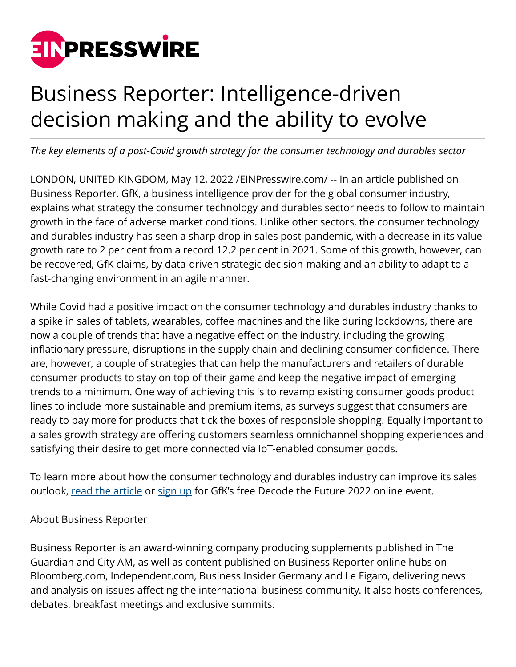

## Business Reporter: Intelligence-driven decision making and the ability to evolve

*The key elements of a post-Covid growth strategy for the consumer technology and durables sector*

LONDON, UNITED KINGDOM, May 12, 2022 /[EINPresswire.com/](http://www.einpresswire.com) -- In an article published on Business Reporter, GfK, a business intelligence provider for the global consumer industry, explains what strategy the consumer technology and durables sector needs to follow to maintain growth in the face of adverse market conditions. Unlike other sectors, the consumer technology and durables industry has seen a sharp drop in sales post-pandemic, with a decrease in its value growth rate to 2 per cent from a record 12.2 per cent in 2021. Some of this growth, however, can be recovered, GfK claims, by data-driven strategic decision-making and an ability to adapt to a fast-changing environment in an agile manner.

While Covid had a positive impact on the consumer technology and durables industry thanks to a spike in sales of tablets, wearables, coffee machines and the like during lockdowns, there are now a couple of trends that have a negative effect on the industry, including the growing inflationary pressure, disruptions in the supply chain and declining consumer confidence. There are, however, a couple of strategies that can help the manufacturers and retailers of durable consumer products to stay on top of their game and keep the negative impact of emerging trends to a minimum. One way of achieving this is to revamp existing consumer goods product lines to include more sustainable and premium items, as surveys suggest that consumers are ready to pay more for products that tick the boxes of responsible shopping. Equally important to a sales growth strategy are offering customers seamless omnichannel shopping experiences and satisfying their desire to get more connected via IoT-enabled consumer goods.

To learn more about how the consumer technology and durables industry can improve its sales outlook, [read the article](https://www.business-reporter.co.uk/management/how-consumer-technology-and-durable-leadership-can-win-in-a-volatile-world) or [sign up](https://hubs.la/Q019HYXc0) for GfK's free Decode the Future 2022 online event.

## About Business Reporter

Business Reporter is an award-winning company producing supplements published in The Guardian and City AM, as well as content published on Business Reporter online hubs on Bloomberg.com, Independent.com, Business Insider Germany and Le Figaro, delivering news and analysis on issues affecting the international business community. It also hosts conferences, debates, breakfast meetings and exclusive summits.